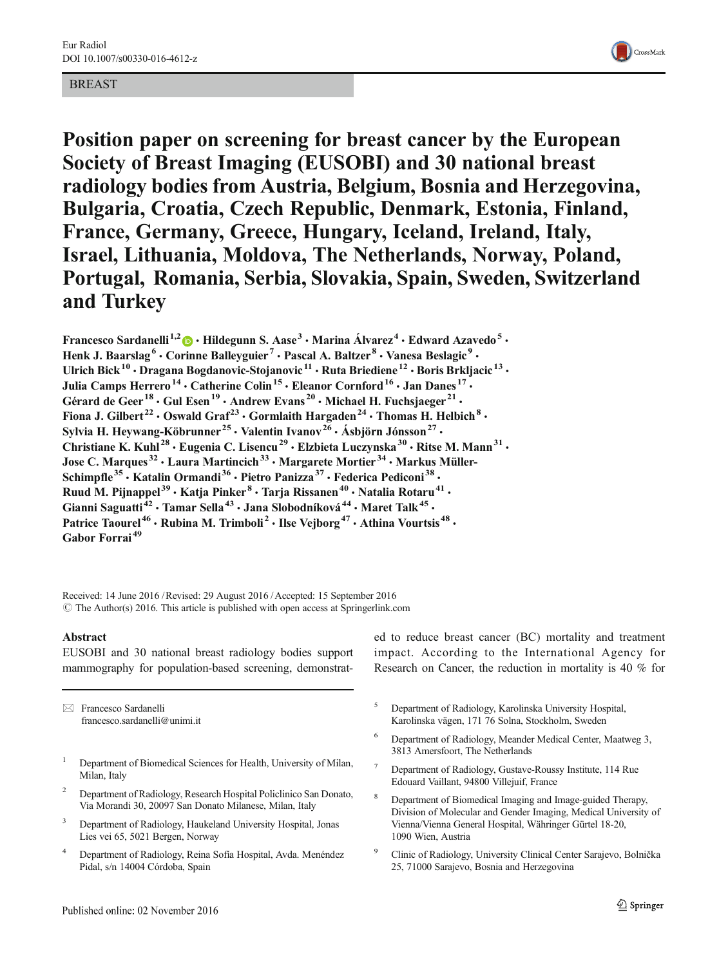# BREAST



Position paper on screening for breast cancer by the European Society of Breast Imaging (EUSOBI) and 30 national breast radiology bodies from Austria, Belgium, Bosnia and Herzegovina, Bulgaria, Croatia, Czech Republic, Denmark, Estonia, Finland, France, Germany, Greece, Hungary, Iceland, Ireland, Italy, Israel, Lithuania, Moldova, The Netherlands, Norway, Poland, Portugal, Romania, Serbia, Slovakia, Spain, Sweden, Switzerland and Turkey

Francesco Sardanelli<sup>1,2</sup>  $\bullet$  · Hildegunn S. Aase<sup>3</sup> · Marina Álvarez<sup>4</sup> · Edward Azavedo<sup>5</sup> · Henk J. Baarslag<sup>6</sup> · Corinne Balleyguier<sup>7</sup> · Pascal A. Baltzer<sup>8</sup> · Vanesa Beslagic<sup>9</sup> · Ulrich Bick<sup>10</sup> · Dragana Bogdanovic-Stojanovic<sup>11</sup> · Ruta Briediene<sup>12</sup> · Boris Brkljacic<sup>13</sup> · Julia Camps Herrero<sup>14</sup> · Catherine Colin<sup>15</sup> · Eleanor Cornford<sup>16</sup> · Jan Danes<sup>17</sup> · Gérard de Geer<sup>18</sup>  $\cdot$  Gul Esen<sup>19</sup>  $\cdot$  Andrew Evans<sup>20</sup>  $\cdot$  Michael H. Fuchsjaeger<sup>21</sup>  $\cdot$ Fiona J. Gilbert<sup>22</sup> • Oswald Graf<sup>23</sup> • Gormlaith Hargaden<sup>24</sup> • Thomas H. Helbich<sup>8</sup> • Sylvia H. Heywang-Köbrunner<sup>25</sup> · Valentin Ivanov<sup>26</sup> · Ásbjörn Jónsson<sup>27</sup> · Christiane K. Kuhl<sup>28</sup> · Eugenia C. Lisencu<sup>29</sup> · Elzbieta Luczynska<sup>30</sup> · Ritse M. Mann<sup>31</sup> · Jose C. Marques<sup>32</sup> · Laura Martincich<sup>33</sup> · Margarete Mortier<sup>34</sup> · Markus Müller-Schimpfle<sup>35</sup>  $\cdot$  Katalin Ormandi<sup>36</sup>  $\cdot$  Pietro Panizza<sup>37</sup>  $\cdot$  Federica Pediconi<sup>38</sup>  $\cdot$ Ruud M. Pijnappel<sup>39</sup> · Katja Pinker<sup>8</sup> · Tarja Rissanen<sup>40</sup> · Natalia Rotaru<sup>41</sup> · Gianni Saguatti<sup>42</sup> • Tamar Sella<sup>43</sup> • Jana Slobodníková<sup>44</sup> • Maret Talk<sup>45</sup> • Patrice Taourel<sup>46</sup> • Rubina M. Trimboli<sup>2</sup> • Ilse Vejborg<sup>47</sup> • Athina Vourtsis<sup>48</sup> • Gabor Forrai<sup>49</sup>

Received: 14 June 2016 /Revised: 29 August 2016 /Accepted: 15 September 2016  $\odot$  The Author(s) 2016. This article is published with open access at Springerlink.com

### Abstract

EUSOBI and 30 national breast radiology bodies support mammography for population-based screening, demonstrat-

 $\boxtimes$  Francesco Sardanelli francesco.sardanelli@unimi.it

- <sup>1</sup> Department of Biomedical Sciences for Health, University of Milan, Milan, Italy
- <sup>2</sup> Department of Radiology, Research Hospital Policlinico San Donato, Via Morandi 30, 20097 San Donato Milanese, Milan, Italy
- <sup>3</sup> Department of Radiology, Haukeland University Hospital, Jonas Lies vei 65, 5021 Bergen, Norway
- <sup>4</sup> Department of Radiology, Reina Sofía Hospital, Avda. Menéndez Pidal, s/n 14004 Córdoba, Spain

ed to reduce breast cancer (BC) mortality and treatment impact. According to the International Agency for Research on Cancer, the reduction in mortality is 40 % for

- <sup>5</sup> Department of Radiology, Karolinska University Hospital, Karolinska vägen, 171 76 Solna, Stockholm, Sweden
- <sup>6</sup> Department of Radiology, Meander Medical Center, Maatweg 3, 3813 Amersfoort, The Netherlands
- <sup>7</sup> Department of Radiology, Gustave-Roussy Institute, 114 Rue Edouard Vaillant, 94800 Villejuif, France
- <sup>8</sup> Department of Biomedical Imaging and Image-guided Therapy, Division of Molecular and Gender Imaging, Medical University of Vienna/Vienna General Hospital, Währinger Gürtel 18-20, 1090 Wien, Austria
- <sup>9</sup> Clinic of Radiology, University Clinical Center Sarajevo, Bolnička 25, 71000 Sarajevo, Bosnia and Herzegovina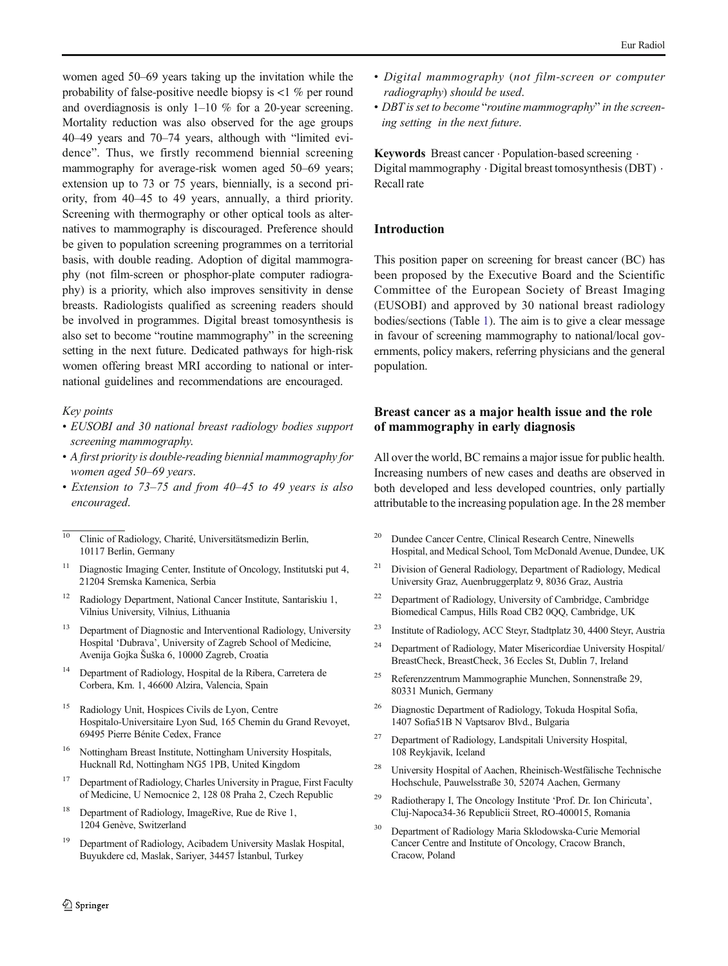women aged 50–69 years taking up the invitation while the probability of false-positive needle biopsy is  $\langle 1 \rangle$  % per round and overdiagnosis is only 1–10 % for a 20-year screening. Mortality reduction was also observed for the age groups 40–49 years and 70–74 years, although with "limited evidence". Thus, we firstly recommend biennial screening mammography for average-risk women aged 50–69 years; extension up to 73 or 75 years, biennially, is a second priority, from 40–45 to 49 years, annually, a third priority. Screening with thermography or other optical tools as alternatives to mammography is discouraged. Preference should be given to population screening programmes on a territorial basis, with double reading. Adoption of digital mammography (not film-screen or phosphor-plate computer radiography) is a priority, which also improves sensitivity in dense breasts. Radiologists qualified as screening readers should be involved in programmes. Digital breast tomosynthesis is also set to become "routine mammography" in the screening setting in the next future. Dedicated pathways for high-risk women offering breast MRI according to national or international guidelines and recommendations are encouraged.

#### Key points

- EUSOBI and 30 national breast radiology bodies support screening mammography.
- A first priority is double-reading biennial mammography for women aged 50–69 years.
- Extension to 73–75 and from 40–45 to 49 years is also encouraged.

<sup>10</sup> Clinic of Radiology, Charité, Universitätsmedizin Berlin, 10117 Berlin, Germany

- <sup>11</sup> Diagnostic Imaging Center, Institute of Oncology, Institutski put 4, 21204 Sremska Kamenica, Serbia
- <sup>12</sup> Radiology Department, National Cancer Institute, Santariskiu 1, Vilnius University, Vilnius, Lithuania
- <sup>13</sup> Department of Diagnostic and Interventional Radiology, University Hospital 'Dubrava', University of Zagreb School of Medicine, Avenija Gojka Šuška 6, 10000 Zagreb, Croatia
- <sup>14</sup> Department of Radiology, Hospital de la Ribera, Carretera de Corbera, Km. 1, 46600 Alzira, Valencia, Spain
- <sup>15</sup> Radiology Unit, Hospices Civils de Lyon, Centre Hospitalo-Universitaire Lyon Sud, 165 Chemin du Grand Revoyet, 69495 Pierre Bénite Cedex, France
- <sup>16</sup> Nottingham Breast Institute, Nottingham University Hospitals, Hucknall Rd, Nottingham NG5 1PB, United Kingdom
- <sup>17</sup> Department of Radiology, Charles University in Prague, First Faculty of Medicine, U Nemocnice 2, 128 08 Praha 2, Czech Republic
- Department of Radiology, ImageRive, Rue de Rive 1, 1204 Genève, Switzerland
- <sup>19</sup> Department of Radiology, Acibadem University Maslak Hospital, Buyukdere cd, Maslak, Sariyer, 34457 İstanbul, Turkey
- Digital mammography (not film-screen or computer radiography) should be used.
- DBT is set to become "routine mammography" in the screening setting in the next future.

Keywords Breast cancer · Population-based screening · Digital mammography . Digital breast tomosynthesis (DBT) . Recall rate

## Introduction

This position paper on screening for breast cancer (BC) has been proposed by the Executive Board and the Scientific Committee of the European Society of Breast Imaging (EUSOBI) and approved by 30 national breast radiology bodies/sections (Table [1](#page-3-0)). The aim is to give a clear message in favour of screening mammography to national/local governments, policy makers, referring physicians and the general population.

# Breast cancer as a major health issue and the role of mammography in early diagnosis

All over the world, BC remains a major issue for public health. Increasing numbers of new cases and deaths are observed in both developed and less developed countries, only partially attributable to the increasing population age. In the 28 member

- <sup>20</sup> Dundee Cancer Centre, Clinical Research Centre, Ninewells Hospital, and Medical School, Tom McDonald Avenue, Dundee, UK
- <sup>21</sup> Division of General Radiology, Department of Radiology, Medical University Graz, Auenbruggerplatz 9, 8036 Graz, Austria
- <sup>22</sup> Department of Radiology, University of Cambridge, Cambridge Biomedical Campus, Hills Road CB2 0QQ, Cambridge, UK
- <sup>23</sup> Institute of Radiology, ACC Steyr, Stadtplatz 30, 4400 Steyr, Austria
- <sup>24</sup> Department of Radiology, Mater Misericordiae University Hospital/ BreastCheck, BreastCheck, 36 Eccles St, Dublin 7, Ireland
- <sup>25</sup> Referenzzentrum Mammographie Munchen, Sonnenstraße 29, 80331 Munich, Germany
- <sup>26</sup> Diagnostic Department of Radiology, Tokuda Hospital Sofia, 1407 Sofia51B N Vaptsarov Blvd., Bulgaria
- <sup>27</sup> Department of Radiology, Landspitali University Hospital, 108 Reykjavik, Iceland
- <sup>28</sup> University Hospital of Aachen, Rheinisch-Westfälische Technische Hochschule, Pauwelsstraße 30, 52074 Aachen, Germany
- <sup>29</sup> Radiotherapy I, The Oncology Institute 'Prof. Dr. Ion Chiricuta', Cluj-Napoca34-36 Republicii Street, RO-400015, Romania
- <sup>30</sup> Department of Radiology Maria Sklodowska-Curie Memorial Cancer Centre and Institute of Oncology, Cracow Branch, Cracow, Poland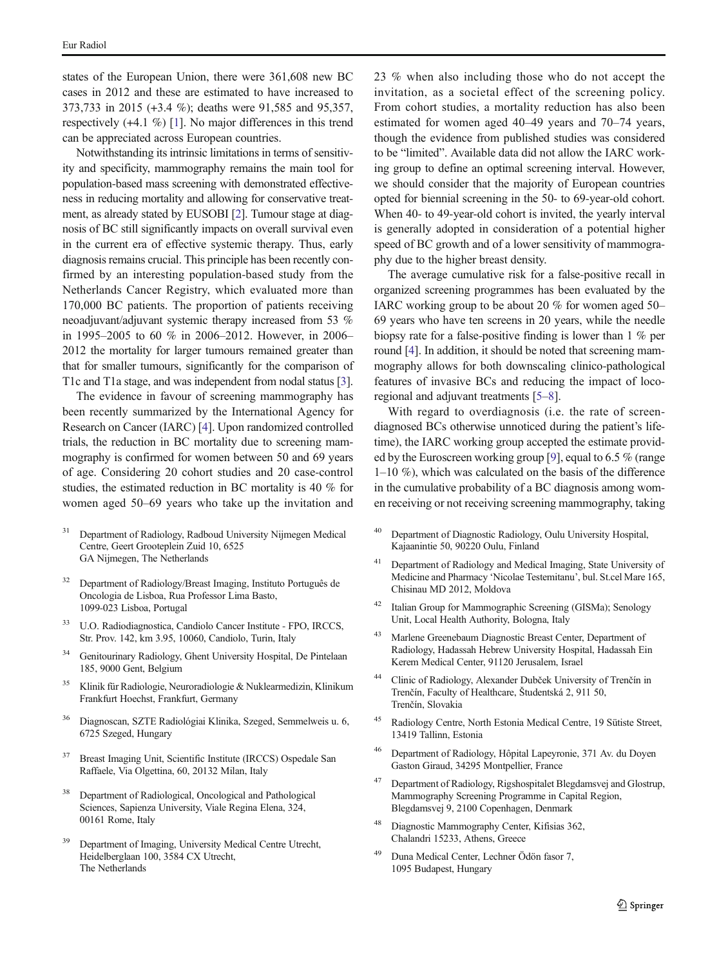states of the European Union, there were 361,608 new BC cases in 2012 and these are estimated to have increased to 373,733 in 2015 (+3.4 %); deaths were 91,585 and 95,357, respectively (+4.1 %) [\[1\]](#page-5-0). No major differences in this trend can be appreciated across European countries.

Notwithstanding its intrinsic limitations in terms of sensitivity and specificity, mammography remains the main tool for population-based mass screening with demonstrated effectiveness in reducing mortality and allowing for conservative treatment, as already stated by EUSOBI [[2](#page-5-0)]. Tumour stage at diagnosis of BC still significantly impacts on overall survival even in the current era of effective systemic therapy. Thus, early diagnosis remains crucial. This principle has been recently confirmed by an interesting population-based study from the Netherlands Cancer Registry, which evaluated more than 170,000 BC patients. The proportion of patients receiving neoadjuvant/adjuvant systemic therapy increased from 53 % in 1995–2005 to 60 % in 2006–2012. However, in 2006– 2012 the mortality for larger tumours remained greater than that for smaller tumours, significantly for the comparison of T1c and T1a stage, and was independent from nodal status [[3\]](#page-5-0).

The evidence in favour of screening mammography has been recently summarized by the International Agency for Research on Cancer (IARC) [\[4](#page-5-0)]. Upon randomized controlled trials, the reduction in BC mortality due to screening mammography is confirmed for women between 50 and 69 years of age. Considering 20 cohort studies and 20 case-control studies, the estimated reduction in BC mortality is 40 % for women aged 50–69 years who take up the invitation and

- <sup>31</sup> Department of Radiology, Radboud University Nijmegen Medical Centre, Geert Grooteplein Zuid 10, 6525 GA Nijmegen, The Netherlands
- <sup>32</sup> Department of Radiology/Breast Imaging, Instituto Português de Oncologia de Lisboa, Rua Professor Lima Basto, 1099-023 Lisboa, Portugal
- <sup>33</sup> U.O. Radiodiagnostica, Candiolo Cancer Institute FPO, IRCCS, Str. Prov. 142, km 3.95, 10060, Candiolo, Turin, Italy
- <sup>34</sup> Genitourinary Radiology, Ghent University Hospital, De Pintelaan 185, 9000 Gent, Belgium
- <sup>35</sup> Klinik für Radiologie, Neuroradiologie & Nuklearmedizin, Klinikum Frankfurt Hoechst, Frankfurt, Germany
- <sup>36</sup> Diagnoscan, SZTE Radiológiai Klinika, Szeged, Semmelweis u. 6, 6725 Szeged, Hungary
- Breast Imaging Unit, Scientific Institute (IRCCS) Ospedale San Raffaele, Via Olgettina, 60, 20132 Milan, Italy
- <sup>38</sup> Department of Radiological, Oncological and Pathological Sciences, Sapienza University, Viale Regina Elena, 324, 00161 Rome, Italy
- Department of Imaging, University Medical Centre Utrecht, Heidelberglaan 100, 3584 CX Utrecht, The Netherlands

23 % when also including those who do not accept the invitation, as a societal effect of the screening policy. From cohort studies, a mortality reduction has also been estimated for women aged 40–49 years and 70–74 years, though the evidence from published studies was considered to be "limited". Available data did not allow the IARC working group to define an optimal screening interval. However, we should consider that the majority of European countries opted for biennial screening in the 50- to 69-year-old cohort. When 40- to 49-year-old cohort is invited, the yearly interval is generally adopted in consideration of a potential higher speed of BC growth and of a lower sensitivity of mammography due to the higher breast density.

The average cumulative risk for a false-positive recall in organized screening programmes has been evaluated by the IARC working group to be about 20 % for women aged 50– 69 years who have ten screens in 20 years, while the needle biopsy rate for a false-positive finding is lower than 1 % per round [\[4](#page-5-0)]. In addition, it should be noted that screening mammography allows for both downscaling clinico-pathological features of invasive BCs and reducing the impact of locoregional and adjuvant treatments [\[5](#page-5-0)–[8\]](#page-5-0).

With regard to overdiagnosis (i.e. the rate of screendiagnosed BCs otherwise unnoticed during the patient's lifetime), the IARC working group accepted the estimate provided by the Euroscreen working group [\[9](#page-5-0)], equal to 6.5 % (range 1–10 %), which was calculated on the basis of the difference in the cumulative probability of a BC diagnosis among women receiving or not receiving screening mammography, taking

- <sup>40</sup> Department of Diagnostic Radiology, Oulu University Hospital, Kajaanintie 50, 90220 Oulu, Finland
- <sup>41</sup> Department of Radiology and Medical Imaging, State University of Medicine and Pharmacy 'Nicolae Testemitanu', bul. St.cel Mare 165, Chisinau MD 2012, Moldova
- <sup>42</sup> Italian Group for Mammographic Screening (GISMa); Senology Unit, Local Health Authority, Bologna, Italy
- <sup>43</sup> Marlene Greenebaum Diagnostic Breast Center, Department of Radiology, Hadassah Hebrew University Hospital, Hadassah Ein Kerem Medical Center, 91120 Jerusalem, Israel
- <sup>44</sup> Clinic of Radiology, Alexander Dubček University of Trenčín in Trenčín, Faculty of Healthcare, Študentská 2, 911 50, Trenčín, Slovakia
- <sup>45</sup> Radiology Centre, North Estonia Medical Centre, 19 Sütiste Street, 13419 Tallinn, Estonia
- <sup>46</sup> Department of Radiology, Hôpital Lapeyronie, 371 Av. du Doyen Gaston Giraud, 34295 Montpellier, France
- <sup>47</sup> Department of Radiology, Rigshospitalet Blegdamsvej and Glostrup, Mammography Screening Programme in Capital Region, Blegdamsvej 9, 2100 Copenhagen, Denmark
- <sup>48</sup> Diagnostic Mammography Center, Kifisias 362, Chalandri 15233, Athens, Greece
- <sup>49</sup> Duna Medical Center, Lechner Ödön fasor 7, 1095 Budapest, Hungary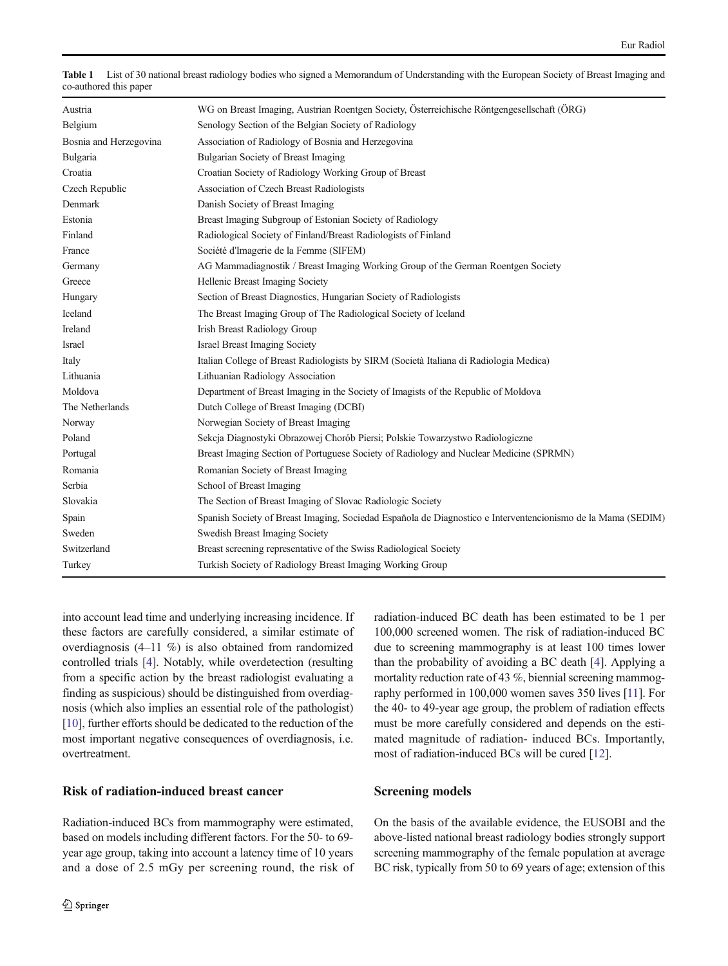| Austria                | WG on Breast Imaging, Austrian Roentgen Society, Österreichische Röntgengesellschaft (ÖRG)                   |
|------------------------|--------------------------------------------------------------------------------------------------------------|
| Belgium                | Senology Section of the Belgian Society of Radiology                                                         |
| Bosnia and Herzegovina | Association of Radiology of Bosnia and Herzegovina                                                           |
| Bulgaria               | Bulgarian Society of Breast Imaging                                                                          |
| Croatia                | Croatian Society of Radiology Working Group of Breast                                                        |
| Czech Republic         | Association of Czech Breast Radiologists                                                                     |
| Denmark                | Danish Society of Breast Imaging                                                                             |
| Estonia                | Breast Imaging Subgroup of Estonian Society of Radiology                                                     |
| Finland                | Radiological Society of Finland/Breast Radiologists of Finland                                               |
| France                 | Société d'Imagerie de la Femme (SIFEM)                                                                       |
| Germany                | AG Mammadiagnostik / Breast Imaging Working Group of the German Roentgen Society                             |
| Greece                 | Hellenic Breast Imaging Society                                                                              |
| Hungary                | Section of Breast Diagnostics, Hungarian Society of Radiologists                                             |
| Iceland                | The Breast Imaging Group of The Radiological Society of Iceland                                              |
| Ireland                | Irish Breast Radiology Group                                                                                 |
| Israel                 | <b>Israel Breast Imaging Society</b>                                                                         |
| Italy                  | Italian College of Breast Radiologists by SIRM (Società Italiana di Radiologia Medica)                       |
| Lithuania              | Lithuanian Radiology Association                                                                             |
| Moldova                | Department of Breast Imaging in the Society of Imagists of the Republic of Moldova                           |
| The Netherlands        | Dutch College of Breast Imaging (DCBI)                                                                       |
| Norway                 | Norwegian Society of Breast Imaging                                                                          |
| Poland                 | Sekcja Diagnostyki Obrazowej Chorób Piersi; Polskie Towarzystwo Radiologiczne                                |
| Portugal               | Breast Imaging Section of Portuguese Society of Radiology and Nuclear Medicine (SPRMN)                       |
| Romania                | Romanian Society of Breast Imaging                                                                           |
| Serbia                 | School of Breast Imaging                                                                                     |
| Slovakia               | The Section of Breast Imaging of Slovac Radiologic Society                                                   |
| Spain                  | Spanish Society of Breast Imaging, Sociedad Española de Diagnostico e Interventencionismo de la Mama (SEDIM) |
| Sweden                 | Swedish Breast Imaging Society                                                                               |
| Switzerland            | Breast screening representative of the Swiss Radiological Society                                            |
| Turkey                 | Turkish Society of Radiology Breast Imaging Working Group                                                    |

<span id="page-3-0"></span>

| Table 1 List of 30 national breast radiology bodies who signed a Memorandum of Understanding with the European Society of Breast Imaging and |
|----------------------------------------------------------------------------------------------------------------------------------------------|
| co-authored this paper                                                                                                                       |

into account lead time and underlying increasing incidence. If these factors are carefully considered, a similar estimate of overdiagnosis (4–11 %) is also obtained from randomized controlled trials [[4\]](#page-5-0). Notably, while overdetection (resulting from a specific action by the breast radiologist evaluating a finding as suspicious) should be distinguished from overdiagnosis (which also implies an essential role of the pathologist) [\[10\]](#page-6-0), further efforts should be dedicated to the reduction of the most important negative consequences of overdiagnosis, i.e. overtreatment.

## Risk of radiation-induced breast cancer

Radiation-induced BCs from mammography were estimated, based on models including different factors. For the 50- to 69 year age group, taking into account a latency time of 10 years and a dose of 2.5 mGy per screening round, the risk of radiation-induced BC death has been estimated to be 1 per 100,000 screened women. The risk of radiation-induced BC due to screening mammography is at least 100 times lower than the probability of avoiding a BC death [\[4](#page-5-0)]. Applying a mortality reduction rate of 43 %, biennial screening mammography performed in 100,000 women saves 350 lives [\[11\]](#page-6-0). For the 40- to 49-year age group, the problem of radiation effects must be more carefully considered and depends on the estimated magnitude of radiation- induced BCs. Importantly, most of radiation-induced BCs will be cured [\[12](#page-6-0)].

### Screening models

On the basis of the available evidence, the EUSOBI and the above-listed national breast radiology bodies strongly support screening mammography of the female population at average BC risk, typically from 50 to 69 years of age; extension of this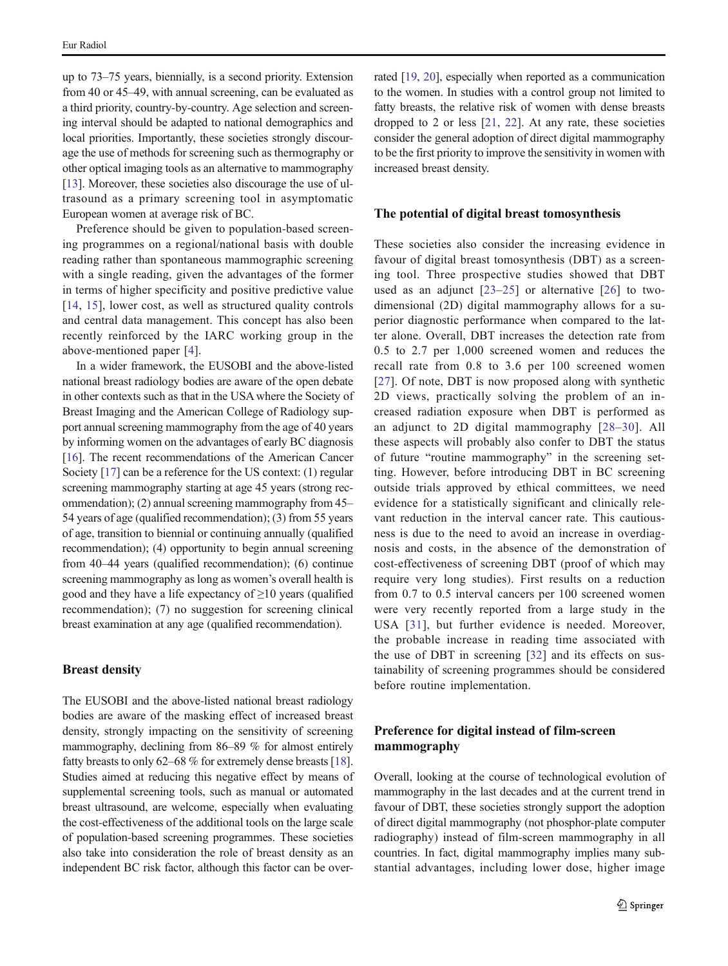up to 73–75 years, biennially, is a second priority. Extension from 40 or 45–49, with annual screening, can be evaluated as a third priority, country-by-country. Age selection and screening interval should be adapted to national demographics and local priorities. Importantly, these societies strongly discourage the use of methods for screening such as thermography or other optical imaging tools as an alternative to mammography [\[13\]](#page-6-0). Moreover, these societies also discourage the use of ultrasound as a primary screening tool in asymptomatic European women at average risk of BC.

Preference should be given to population-based screening programmes on a regional/national basis with double reading rather than spontaneous mammographic screening with a single reading, given the advantages of the former in terms of higher specificity and positive predictive value [\[14,](#page-6-0) [15\]](#page-6-0), lower cost, as well as structured quality controls and central data management. This concept has also been recently reinforced by the IARC working group in the above-mentioned paper [[4](#page-5-0)].

In a wider framework, the EUSOBI and the above-listed national breast radiology bodies are aware of the open debate in other contexts such as that in the USA where the Society of Breast Imaging and the American College of Radiology support annual screening mammography from the age of 40 years by informing women on the advantages of early BC diagnosis [\[16\]](#page-6-0). The recent recommendations of the American Cancer Society [\[17](#page-6-0)] can be a reference for the US context: (1) regular screening mammography starting at age 45 years (strong recommendation); (2) annual screening mammography from 45– 54 years of age (qualified recommendation); (3) from 55 years of age, transition to biennial or continuing annually (qualified recommendation); (4) opportunity to begin annual screening from 40–44 years (qualified recommendation); (6) continue screening mammography as long as women's overall health is good and they have a life expectancy of ≥10 years (qualified recommendation); (7) no suggestion for screening clinical breast examination at any age (qualified recommendation).

#### Breast density

The EUSOBI and the above-listed national breast radiology bodies are aware of the masking effect of increased breast density, strongly impacting on the sensitivity of screening mammography, declining from 86–89 % for almost entirely fatty breasts to only 62–68 % for extremely dense breasts [[18\]](#page-6-0). Studies aimed at reducing this negative effect by means of supplemental screening tools, such as manual or automated breast ultrasound, are welcome, especially when evaluating the cost-effectiveness of the additional tools on the large scale of population-based screening programmes. These societies also take into consideration the role of breast density as an independent BC risk factor, although this factor can be over-

rated [\[19](#page-6-0), [20](#page-6-0)], especially when reported as a communication to the women. In studies with a control group not limited to fatty breasts, the relative risk of women with dense breasts dropped to 2 or less [[21,](#page-6-0) [22](#page-6-0)]. At any rate, these societies consider the general adoption of direct digital mammography to be the first priority to improve the sensitivity in women with increased breast density.

### The potential of digital breast tomosynthesis

These societies also consider the increasing evidence in favour of digital breast tomosynthesis (DBT) as a screening tool. Three prospective studies showed that DBT used as an adjunct [[23](#page-6-0)–[25\]](#page-6-0) or alternative [\[26\]](#page-6-0) to twodimensional (2D) digital mammography allows for a superior diagnostic performance when compared to the latter alone. Overall, DBT increases the detection rate from 0.5 to 2.7 per 1,000 screened women and reduces the recall rate from 0.8 to 3.6 per 100 screened women [\[27\]](#page-6-0). Of note, DBT is now proposed along with synthetic 2D views, practically solving the problem of an increased radiation exposure when DBT is performed as an adjunct to 2D digital mammography [[28](#page-6-0)–[30\]](#page-6-0). All these aspects will probably also confer to DBT the status of future "routine mammography" in the screening setting. However, before introducing DBT in BC screening outside trials approved by ethical committees, we need evidence for a statistically significant and clinically relevant reduction in the interval cancer rate. This cautiousness is due to the need to avoid an increase in overdiagnosis and costs, in the absence of the demonstration of cost-effectiveness of screening DBT (proof of which may require very long studies). First results on a reduction from 0.7 to 0.5 interval cancers per 100 screened women were very recently reported from a large study in the USA [\[31\]](#page-6-0), but further evidence is needed. Moreover, the probable increase in reading time associated with the use of DBT in screening [[32](#page-6-0)] and its effects on sustainability of screening programmes should be considered before routine implementation.

### Preference for digital instead of film-screen mammography

Overall, looking at the course of technological evolution of mammography in the last decades and at the current trend in favour of DBT, these societies strongly support the adoption of direct digital mammography (not phosphor-plate computer radiography) instead of film-screen mammography in all countries. In fact, digital mammography implies many substantial advantages, including lower dose, higher image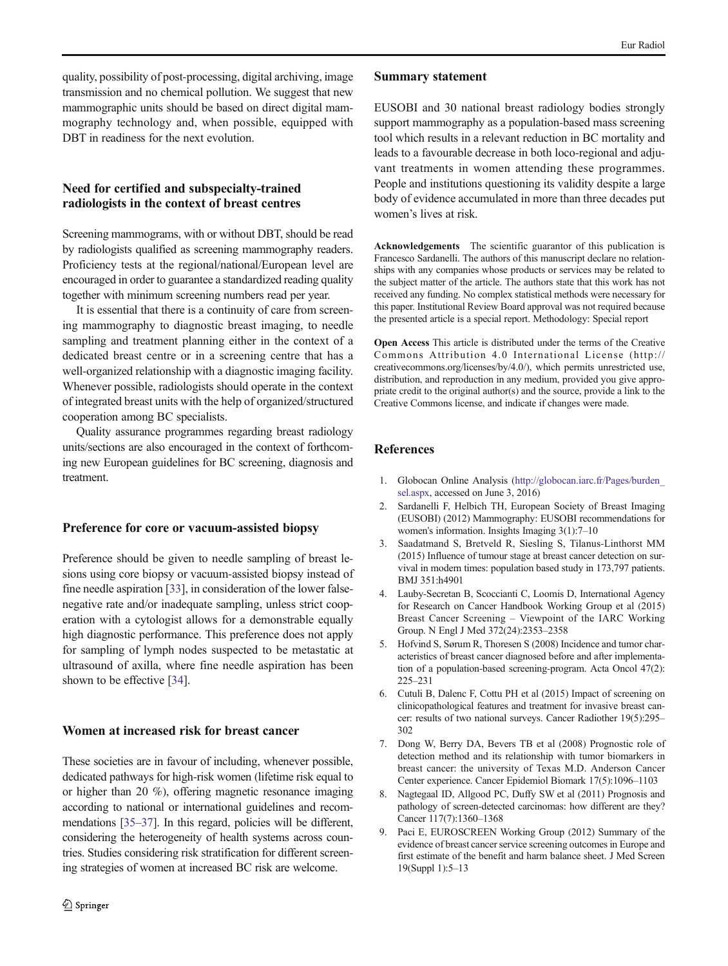<span id="page-5-0"></span>quality, possibility of post-processing, digital archiving, image transmission and no chemical pollution. We suggest that new mammographic units should be based on direct digital mammography technology and, when possible, equipped with DBT in readiness for the next evolution.

# Need for certified and subspecialty-trained radiologists in the context of breast centres

Screening mammograms, with or without DBT, should be read by radiologists qualified as screening mammography readers. Proficiency tests at the regional/national/European level are encouraged in order to guarantee a standardized reading quality together with minimum screening numbers read per year.

It is essential that there is a continuity of care from screening mammography to diagnostic breast imaging, to needle sampling and treatment planning either in the context of a dedicated breast centre or in a screening centre that has a well-organized relationship with a diagnostic imaging facility. Whenever possible, radiologists should operate in the context of integrated breast units with the help of organized/structured cooperation among BC specialists.

Quality assurance programmes regarding breast radiology units/sections are also encouraged in the context of forthcoming new European guidelines for BC screening, diagnosis and treatment.

## Preference for core or vacuum-assisted biopsy

Preference should be given to needle sampling of breast lesions using core biopsy or vacuum-assisted biopsy instead of fine needle aspiration [[33](#page-6-0)], in consideration of the lower falsenegative rate and/or inadequate sampling, unless strict cooperation with a cytologist allows for a demonstrable equally high diagnostic performance. This preference does not apply for sampling of lymph nodes suspected to be metastatic at ultrasound of axilla, where fine needle aspiration has been shown to be effective [\[34](#page-6-0)].

### Women at increased risk for breast cancer

These societies are in favour of including, whenever possible, dedicated pathways for high-risk women (lifetime risk equal to or higher than 20 %), offering magnetic resonance imaging according to national or international guidelines and recommendations [\[35](#page-6-0)–[37](#page-6-0)]. In this regard, policies will be different, considering the heterogeneity of health systems across countries. Studies considering risk stratification for different screening strategies of women at increased BC risk are welcome.

#### Summary statement

EUSOBI and 30 national breast radiology bodies strongly support mammography as a population-based mass screening tool which results in a relevant reduction in BC mortality and leads to a favourable decrease in both loco-regional and adjuvant treatments in women attending these programmes. People and institutions questioning its validity despite a large body of evidence accumulated in more than three decades put women's lives at risk.

Acknowledgements The scientific guarantor of this publication is Francesco Sardanelli. The authors of this manuscript declare no relationships with any companies whose products or services may be related to the subject matter of the article. The authors state that this work has not received any funding. No complex statistical methods were necessary for this paper. Institutional Review Board approval was not required because the presented article is a special report. Methodology: Special report

Open Access This article is distributed under the terms of the Creative Commons Attribution 4.0 International License (http:// creativecommons.org/licenses/by/4.0/), which permits unrestricted use, distribution, and reproduction in any medium, provided you give appropriate credit to the original author(s) and the source, provide a link to the Creative Commons license, and indicate if changes were made.

### **References**

- 1. Globocan Online Analysis [\(http://globocan.iarc.fr/Pages/burden\\_](http://globocan.iarc.fr/Pages/burden_sel.aspx) [sel.aspx](http://globocan.iarc.fr/Pages/burden_sel.aspx), accessed on June 3, 2016)
- 2. Sardanelli F, Helbich TH, European Society of Breast Imaging (EUSOBI) (2012) Mammography: EUSOBI recommendations for women's information. Insights Imaging 3(1):7–10
- 3. Saadatmand S, Bretveld R, Siesling S, Tilanus-Linthorst MM (2015) Influence of tumour stage at breast cancer detection on survival in modern times: population based study in 173,797 patients. BMJ 351:h4901
- 4. Lauby-Secretan B, Scoccianti C, Loomis D, International Agency for Research on Cancer Handbook Working Group et al (2015) Breast Cancer Screening – Viewpoint of the IARC Working Group. N Engl J Med 372(24):2353–2358
- 5. Hofvind S, Sørum R, Thoresen S (2008) Incidence and tumor characteristics of breast cancer diagnosed before and after implementation of a population-based screening-program. Acta Oncol 47(2): 225–231
- 6. Cutuli B, Dalenc F, Cottu PH et al (2015) Impact of screening on clinicopathological features and treatment for invasive breast cancer: results of two national surveys. Cancer Radiother 19(5):295– 302
- 7. Dong W, Berry DA, Bevers TB et al (2008) Prognostic role of detection method and its relationship with tumor biomarkers in breast cancer: the university of Texas M.D. Anderson Cancer Center experience. Cancer Epidemiol Biomark 17(5):1096–1103
- 8. Nagtegaal ID, Allgood PC, Duffy SW et al (2011) Prognosis and pathology of screen-detected carcinomas: how different are they? Cancer 117(7):1360–1368
- 9. Paci E, EUROSCREEN Working Group (2012) Summary of the evidence of breast cancer service screening outcomes in Europe and first estimate of the benefit and harm balance sheet. J Med Screen 19(Suppl 1):5–13